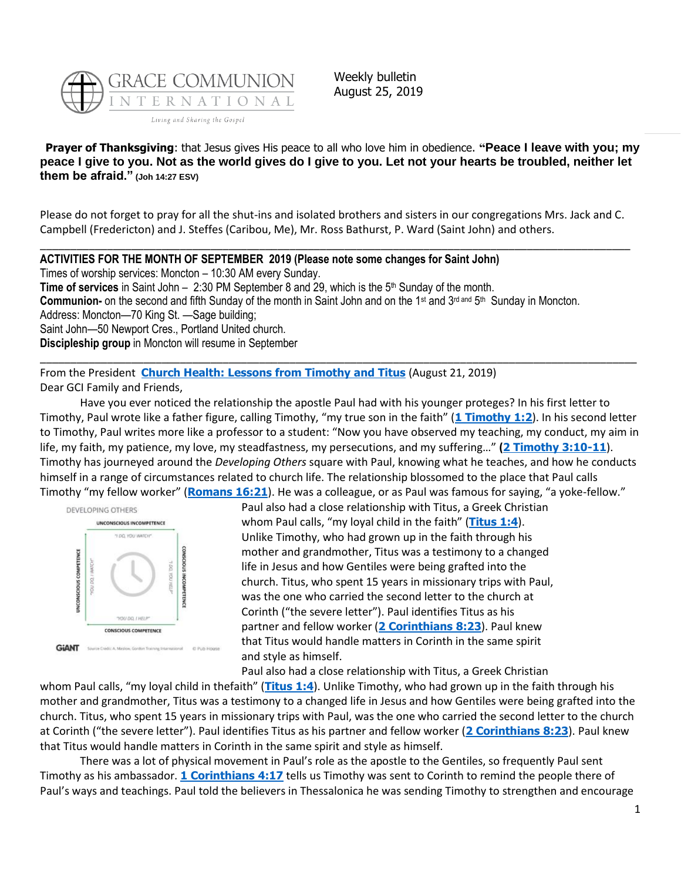

Weekly bulletin August 25, 2019

**Prayer of Thanksgiving**: that Jesus gives His peace to all who love him in obedience. **"Peace I leave with you; my peace I give to you. Not as the world gives do I give to you. Let not your hearts be troubled, neither let them be afraid." (Joh 14:27 ESV)**

Please do not forget to pray for all the shut-ins and isolated brothers and sisters in our congregations Mrs. Jack and C. Campbell (Fredericton) and J. Steffes (Caribou, Me), Mr. Ross Bathurst, P. Ward (Saint John) and others.

\_\_\_\_\_\_\_\_\_\_\_\_\_\_\_\_\_\_\_\_\_\_\_\_\_\_\_\_\_\_\_\_\_\_\_\_\_\_\_\_\_\_\_\_\_\_\_\_\_\_\_\_\_\_\_\_\_\_\_\_\_\_\_\_\_\_\_\_\_\_\_\_\_\_\_\_\_\_\_\_\_\_\_\_\_\_\_\_\_\_\_\_\_\_\_\_\_

#### **ACTIVITIES FOR THE MONTH OF SEPTEMBER 2019 (Please note some changes for Saint John)**

Times of worship services: Moncton – 10:30 AM every Sunday. **Time of services** in Saint John – 2:30 PM September 8 and 29, which is the 5<sup>th</sup> Sunday of the month. Communion- on the second and fifth Sunday of the month in Saint John and on the 1<sup>st</sup> and 3<sup>rd and</sup> 5<sup>th</sup> Sunday in Moncton. Address: Moncton—70 King St. —Sage building;

Saint John—50 Newport Cres., Portland United church.

**Discipleship group** in Moncton will resume in September

From the President **[Church Health: Lessons from Timothy and Titus](https://update.gci.org/2019/08/church-health-lessons-from-timothy-and-titus/)** (August 21, 2019) Dear GCI Family and Friends,

Have you ever noticed the relationship the apostle Paul had with his younger proteges? In his first letter to Timothy, Paul wrote like a father figure, calling Timothy, "my true son in the faith" (**[1 Timothy 1:2](https://biblia.com/bible/niv/1%20Tim%201.2)**). In his second letter to Timothy, Paul writes more like a professor to a student: "Now you have observed my teaching, my conduct, my aim in life, my faith, my patience, my love, my steadfastness, my persecutions, and my suffering…" **([2 Timothy 3:10-11](https://biblia.com/bible/niv/2%20Tim%203.10-11)**). Timothy has journeyed around the *Developing Others* square with Paul, knowing what he teaches, and how he conducts himself in a range of circumstances related to church life. The relationship blossomed to the place that Paul calls Timothy "my fellow worker" (**[Romans 16:21](https://biblia.com/bible/niv/Rom%2016.21)**). He was a colleague, or as Paul was famous for saying, "a yoke-fellow."

\_\_\_\_\_\_\_\_\_\_\_\_\_\_\_\_\_\_\_\_\_\_\_\_\_\_\_\_\_\_\_\_\_\_\_\_\_\_\_\_\_\_\_\_\_\_\_\_\_\_\_\_\_\_\_\_\_\_\_\_\_\_\_\_\_\_\_\_\_\_\_\_\_\_\_\_\_\_\_\_\_\_\_\_\_\_\_\_\_\_\_\_\_\_\_\_\_\_



Paul also had a close relationship with Titus, a Greek Christian whom Paul calls, "my loyal child in the faith" (**[Titus 1:4](https://biblia.com/bible/niv/Titus%201.4)**). Unlike Timothy, who had grown up in the faith through his mother and grandmother, Titus was a testimony to a changed life in Jesus and how Gentiles were being grafted into the church. Titus, who spent 15 years in missionary trips with Paul, was the one who carried the second letter to the church at Corinth ("the severe letter"). Paul identifies Titus as his partner and fellow worker (**[2 Corinthians 8:23](https://biblia.com/bible/niv/2%20Cor%208.23)**). Paul knew that Titus would handle matters in Corinth in the same spirit and style as himself.

Paul also had a close relationship with Titus, a Greek Christian

whom Paul calls, "my loyal child in thefaith" (**[Titus 1:4](https://biblia.com/bible/niv/Titus%201.4)**). Unlike Timothy, who had grown up in the faith through his mother and grandmother, Titus was a testimony to a changed life in Jesus and how Gentiles were being grafted into the church. Titus, who spent 15 years in missionary trips with Paul, was the one who carried the second letter to the church at Corinth ("the severe letter"). Paul identifies Titus as his partner and fellow worker (**[2 Corinthians 8:23](https://biblia.com/bible/niv/2%20Cor%208.23)**). Paul knew that Titus would handle matters in Corinth in the same spirit and style as himself.

There was a lot of physical movement in Paul's role as the apostle to the Gentiles, so frequently Paul sent Timothy as his ambassador. **[1 Corinthians 4:17](https://biblia.com/bible/niv/1%20Cor%204.17)** tells us Timothy was sent to Corinth to remind the people there of Paul's ways and teachings. Paul told the believers in Thessalonica he was sending Timothy to strengthen and encourage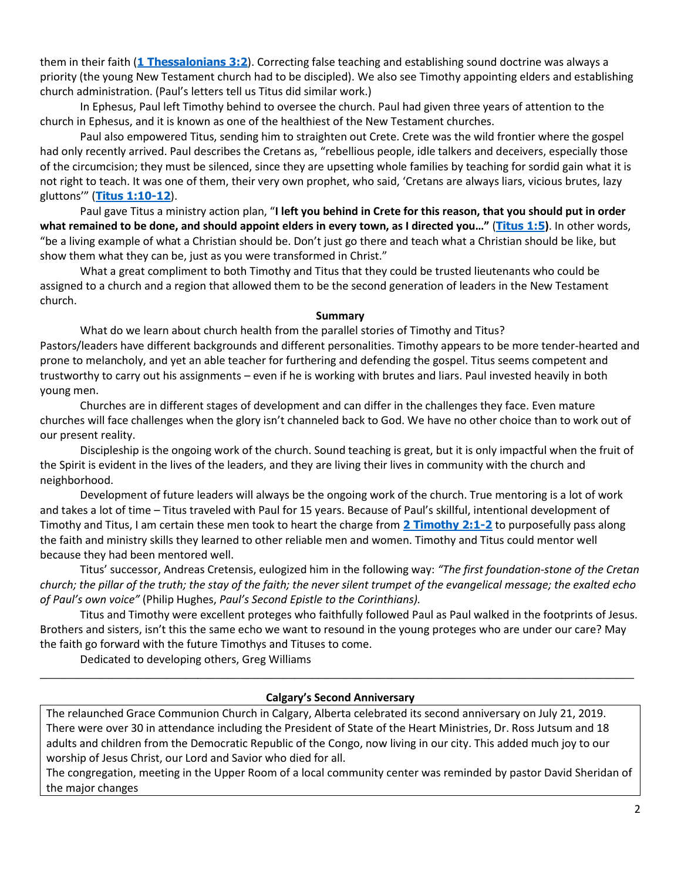them in their faith (**[1 Thessalonians 3:2](https://biblia.com/bible/niv/1%20Thess%203.2)**). Correcting false teaching and establishing sound doctrine was always a priority (the young New Testament church had to be discipled). We also see Timothy appointing elders and establishing church administration. (Paul's letters tell us Titus did similar work.)

In Ephesus, Paul left Timothy behind to oversee the church. Paul had given three years of attention to the church in Ephesus, and it is known as one of the healthiest of the New Testament churches.

Paul also empowered Titus, sending him to straighten out Crete. Crete was the wild frontier where the gospel had only recently arrived. Paul describes the Cretans as, "rebellious people, idle talkers and deceivers, especially those of the circumcision; they must be silenced, since they are upsetting whole families by teaching for sordid gain what it is not right to teach. It was one of them, their very own prophet, who said, 'Cretans are always liars, vicious brutes, lazy gluttons'" (**[Titus 1:10-12](https://biblia.com/bible/niv/Titus%201.10-12)**).

Paul gave Titus a ministry action plan, "**I left you behind in Crete for this reason, that you should put in order what remained to be done, and should appoint elders in every town, as I directed you…"** (**[Titus 1:5](https://biblia.com/bible/niv/Titus%201.5))**. In other words, "be a living example of what a Christian should be. Don't just go there and teach what a Christian should be like, but show them what they can be, just as you were transformed in Christ."

What a great compliment to both Timothy and Titus that they could be trusted lieutenants who could be assigned to a church and a region that allowed them to be the second generation of leaders in the New Testament church.

#### **Summary**

What do we learn about church health from the parallel stories of Timothy and Titus? Pastors/leaders have different backgrounds and different personalities. Timothy appears to be more tender-hearted and prone to melancholy, and yet an able teacher for furthering and defending the gospel. Titus seems competent and trustworthy to carry out his assignments – even if he is working with brutes and liars. Paul invested heavily in both young men.

Churches are in different stages of development and can differ in the challenges they face. Even mature churches will face challenges when the glory isn't channeled back to God. We have no other choice than to work out of our present reality.

Discipleship is the ongoing work of the church. Sound teaching is great, but it is only impactful when the fruit of the Spirit is evident in the lives of the leaders, and they are living their lives in community with the church and neighborhood.

Development of future leaders will always be the ongoing work of the church. True mentoring is a lot of work and takes a lot of time – Titus traveled with Paul for 15 years. Because of Paul's skillful, intentional development of Timothy and Titus, I am certain these men took to heart the charge from **[2 Timothy 2:1-2](https://biblia.com/bible/niv/2%20Tim%202.1-2)** to purposefully pass along the faith and ministry skills they learned to other reliable men and women. Timothy and Titus could mentor well because they had been mentored well.

Titus' successor, Andreas Cretensis, eulogized him in the following way: *"The first foundation-stone of the Cretan church; the pillar of the truth; the stay of the faith; the never silent trumpet of the evangelical message; the exalted echo of Paul's own voice"* (Philip Hughes, *Paul's Second Epistle to the Corinthians).*

Titus and Timothy were excellent proteges who faithfully followed Paul as Paul walked in the footprints of Jesus. Brothers and sisters, isn't this the same echo we want to resound in the young proteges who are under our care? May the faith go forward with the future Timothys and Tituses to come.

Dedicated to developing others, Greg Williams

## **Calgary's Second Anniversary**

 $\_$  , and the set of the set of the set of the set of the set of the set of the set of the set of the set of the set of the set of the set of the set of the set of the set of the set of the set of the set of the set of th

The relaunched Grace Communion Church in Calgary, Alberta celebrated its second anniversary on July 21, 2019. There were over 30 in attendance including the President of State of the Heart Ministries, Dr. Ross Jutsum and 18 adults and children from the Democratic Republic of the Congo, now living in our city. This added much joy to our worship of Jesus Christ, our Lord and Savior who died for all.

The congregation, meeting in the Upper Room of a local community center was reminded by pastor David Sheridan of the major changes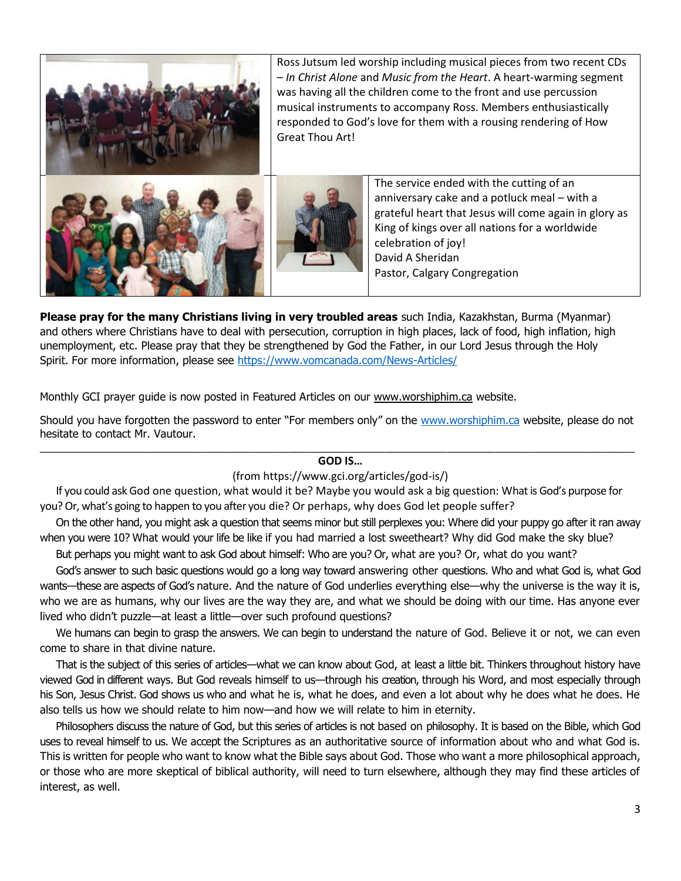

**Please pray for the many Christians living in very troubled areas** such India, Kazakhstan, Burma (Myanmar) and others where Christians have to deal with persecution, corruption in high places, lack of food, high inflation, high unemployment, etc. Please pray that they be strengthened by God the Father, in our Lord Jesus through the Holy Spirit. For more information, please see<https://www.vomcanada.com/News-Articles/>

Monthly GCI prayer guide is now posted in Featured Articles on our [www.worshiphim.ca](http://www.worshiphim.ca/) website.

Should you have forgotten the password to enter "For members only" on the [www.worshiphim.ca](http://www.worshiphim.ca/) website, please do not hesitate to contact Mr. Vautour.

#### $\_$  , and the set of the set of the set of the set of the set of the set of the set of the set of the set of the set of the set of the set of the set of the set of the set of the set of the set of the set of the set of th **GOD IS…**

# (from https://www.gci.org/articles/god-is/)

If you could ask God one question, what would it be? Maybe you would ask a big question: What is God's purpose for you? Or, what's going to happen to you after you die? Or perhaps, why does God let people suffer?

On the other hand, you might ask a question that seems minor but still perplexes you: Where did your puppy go after it ran away when you were 10? What would your life be like if you had married a lost sweetheart? Why did God make the sky blue?

But perhaps you might want to ask God about himself: Who are you? Or, what are you? Or, what do you want?

God's answer to such basic questions would go a long way toward answering other questions. Who and what God is, what God wants—these are aspects of God's nature. And the nature of God underlies everything else—why the universe is the way it is, who we are as humans, why our lives are the way they are, and what we should be doing with our time. Has anyone ever lived who didn't puzzle—at least a little—over such profound questions?

We humans can begin to grasp the answers. We can begin to understand the nature of God. Believe it or not, we can even come to share in that divine nature.

That is the subject of this series of articles—what we can know about God, at least a little bit. Thinkers throughout history have viewed God in different ways. But God reveals himself to us—through his creation, through his Word, and most especially through his Son, Jesus Christ. God shows us who and what he is, what he does, and even a lot about why he does what he does. He also tells us how we should relate to him now—and how we will relate to him in eternity.

Philosophers discuss the nature of God, but this series of articles is not based on philosophy. It is based on the Bible, which God uses to reveal himself to us. We accept the Scriptures as an authoritative source of information about who and what God is. This is written for people who want to know what the Bible says about God. Those who want a more philosophical approach, or those who are more skeptical of biblical authority, will need to turn elsewhere, although they may find these articles of interest, as well.